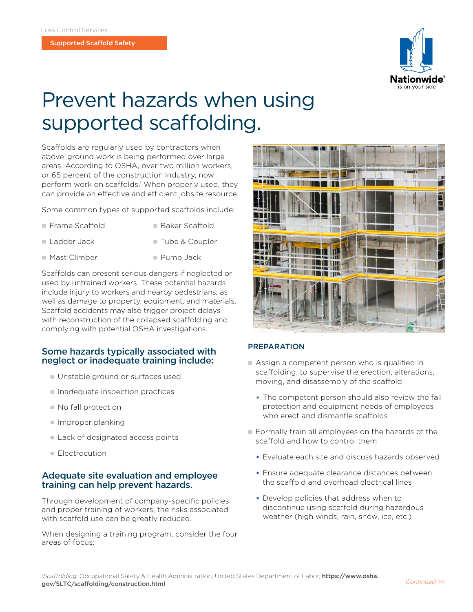

# Prevent hazards when using supported scaffolding.

Scaffolds are regularly used by contractors when above-ground work is being performed over large areas. According to OSHA, over two million workers, or 65 percent of the construction industry, now perform work on scaffolds.<sup>1</sup> When properly used, they can provide an effective and efficient jobsite resource.

Some common types of supported scaffolds include:

- Frame Scaffold **N Baker Scaffold**
- Ladder Jack n Tube & Coupler
- n Mast Climber **n Pump Jack**

Scaffolds can present serious dangers if neglected or used by untrained workers. These potential hazards include injury to workers and nearby pedestrians; as well as damage to property, equipment, and materials. Scaffold accidents may also trigger project delays with reconstruction of the collapsed scaffolding and complying with potential OSHA investigations.

### Some hazards typically associated with neglect or inadequate training include:

- **I** Unstable ground or surfaces used
- $\blacksquare$  Inadequate inspection practices
- $\blacksquare$  No fall protection
- $\blacksquare$  Improper planking
- $\blacksquare$  Lack of designated access points
- **Flectrocution**

### Adequate site evaluation and employee training can help prevent hazards.

Through development of company-specific policies and proper training of workers, the risks associated with scaffold use can be greatly reduced.

When designing a training program, consider the four areas of focus:



### **PREPARATION**

- $\blacksquare$  Assign a competent person who is qualified in scaffolding, to supervise the erection, alterations, moving, and disassembly of the scaffold
	- The competent person should also review the fall protection and equipment needs of employees who erect and dismantle scaffolds
- n Formally train all employees on the hazards of the scaffold and how to control them
	- **Evaluate each site and discuss hazards observed**
	- Ensure adequate clearance distances between the scaffold and overhead electrical lines
	- Develop policies that address when to discontinue using scaffold during hazardous weather (high winds, rain, snow, ice, etc.)